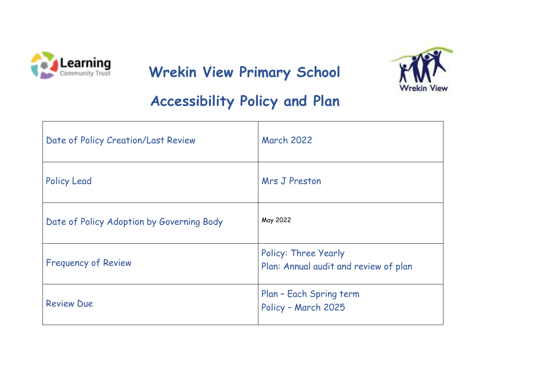

# **Carning Mrekin View Primary School**



## **Accessibility Policy and Plan**

| Date of Policy Creation/Last Review       | <b>March 2022</b>                                                    |
|-------------------------------------------|----------------------------------------------------------------------|
| <b>Policy Lead</b>                        | Mrs J Preston                                                        |
| Date of Policy Adoption by Governing Body | May 2022                                                             |
| <b>Frequency of Review</b>                | <b>Policy: Three Yearly</b><br>Plan: Annual audit and review of plan |
| <b>Review Due</b>                         | Plan - Each Spring term<br>Policy - March 2025                       |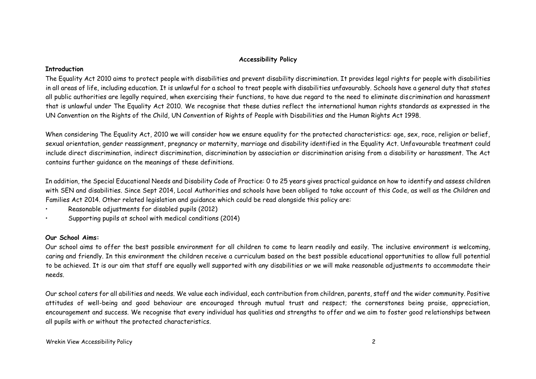#### **Accessibility Policy**

#### **Introduction**

The Equality Act 2010 aims to protect people with disabilities and prevent disability discrimination. It provides legal rights for people with disabilities in all areas of life, including education. It is unlawful for a school to treat people with disabilities unfavourably. Schools have a general duty that states all public authorities are legally required, when exercising their functions, to have due regard to the need to eliminate discrimination and harassment that is unlawful under The Equality Act 2010. We recognise that these duties reflect the international human rights standards as expressed in the UN Convention on the Rights of the Child, UN Convention of Rights of People with Disabilities and the Human Rights Act 1998.

When considering The Equality Act, 2010 we will consider how we ensure equality for the protected characteristics: age, sex, race, religion or belief, sexual orientation, gender reassignment, pregnancy or maternity, marriage and disability identified in the Equality Act. Unfavourable treatment could include direct discrimination, indirect discrimination, discrimination by association or discrimination arising from a disability or harassment. The Act contains further guidance on the meanings of these definitions.

In addition, the Special Educational Needs and Disability Code of Practice: 0 to 25 years gives practical guidance on how to identify and assess children with SEN and disabilities. Since Sept 2014, Local Authorities and schools have been obliged to take account of this Code, as well as the Children and Families Act 2014. Other related legislation and guidance which could be read alongside this policy are:

- Reasonable adjustments for disabled pupils (2012)
- Supporting pupils at school with medical conditions (2014)

#### **Our School Aims:**

Our school aims to offer the best possible environment for all children to come to learn readily and easily. The inclusive environment is welcoming, caring and friendly. In this environment the children receive a curriculum based on the best possible educational opportunities to allow full potential to be achieved. It is our aim that staff are equally well supported with any disabilities or we will make reasonable adjustments to accommodate their needs.

Our school caters for all abilities and needs. We value each individual, each contribution from children, parents, staff and the wider community. Positive attitudes of well-being and good behaviour are encouraged through mutual trust and respect; the cornerstones being praise, appreciation, encouragement and success. We recognise that every individual has qualities and strengths to offer and we aim to foster good relationships between all pupils with or without the protected characteristics.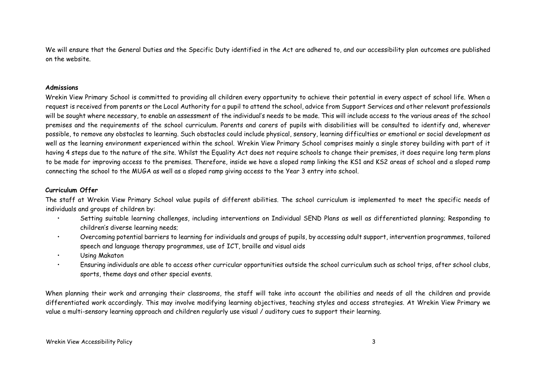We will ensure that the General Duties and the Specific Duty identified in the Act are adhered to, and our accessibility plan outcomes are published on the website.

#### **Admissions**

Wrekin View Primary School is committed to providing all children every opportunity to achieve their potential in every aspect of school life. When a request is received from parents or the Local Authority for a pupil to attend the school, advice from Support Services and other relevant professionals will be sought where necessary, to enable an assessment of the individual's needs to be made. This will include access to the various areas of the school premises and the requirements of the school curriculum. Parents and carers of pupils with disabilities will be consulted to identify and, wherever possible, to remove any obstacles to learning. Such obstacles could include physical, sensory, learning difficulties or emotional or social development as well as the learning environment experienced within the school. Wrekin View Primary School comprises mainly a single storey building with part of it having 4 steps due to the nature of the site. Whilst the Equality Act does not require schools to change their premises, it does require long term plans to be made for improving access to the premises. Therefore, inside we have a sloped ramp linking the KS1 and KS2 areas of school and a sloped ramp connecting the school to the MUGA as well as a sloped ramp giving access to the Year 3 entry into school.

#### **Curriculum Offer**

The staff at Wrekin View Primary School value pupils of different abilities. The school curriculum is implemented to meet the specific needs of individuals and groups of children by:

- Setting suitable learning challenges, including interventions on Individual SEND Plans as well as differentiated planning; Responding to children's diverse learning needs;
- Overcoming potential barriers to learning for individuals and groups of pupils, by accessing adult support, intervention programmes, tailored speech and language therapy programmes, use of ICT, braille and visual aids
- Using Makaton
- Ensuring individuals are able to access other curricular opportunities outside the school curriculum such as school trips, after school clubs, sports, theme days and other special events.

When planning their work and arranging their classrooms, the staff will take into account the abilities and needs of all the children and provide differentiated work accordingly. This may involve modifying learning objectives, teaching styles and access strategies. At Wrekin View Primary we value a multi-sensory learning approach and children regularly use visual / auditory cues to support their learning.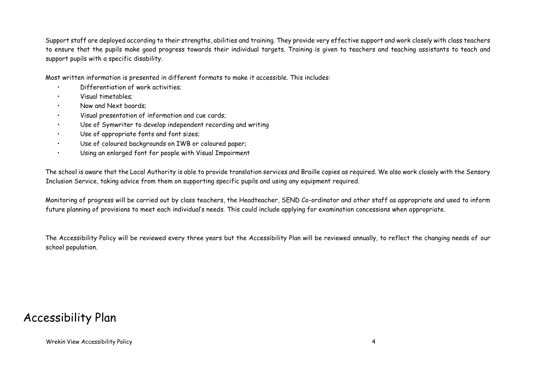Support staff are deployed according to their strengths, abilities and training. They provide very effective support and work closely with class teachers to ensure that the pupils make good progress towards their individual targets. Training is given to teachers and teaching assistants to teach and support pupils with a specific disability.

Most written information is presented in different formats to make it accessible. This includes:

- Differentiation of work activities;
- Visual timetables;
- Now and Next boards;
- Visual presentation of information and cue cards;
- Use of Symwriter to develop independent recording and writing
- Use of appropriate fonts and font sizes;
- Use of coloured backgrounds on IWB or coloured paper;
- Using an enlarged font for people with Visual Impairment

The school is aware that the Local Authority is able to provide translation services and Braille copies as required. We also work closely with the Sensory Inclusion Service, taking advice from them on supporting specific pupils and using any equipment required.

Monitoring of progress will be carried out by class teachers, the Headteacher, SEND Co-ordinator and other staff as appropriate and used to inform future planning of provisions to meet each individual's needs. This could include applying for examination concessions when appropriate.

The Accessibility Policy will be reviewed every three years but the Accessibility Plan will be reviewed annually, to reflect the changing needs of our school population.

### Accessibility Plan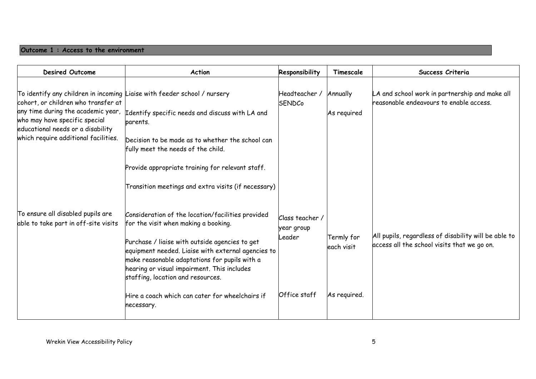#### **Outcome 1 : Access to the environment**

| <b>Desired Outcome</b>                                                                                                                                                                                                                                              | Action                                                                                                                                                                                                                                                                                                                                                                                                  | Responsibility                                        | Timescale                                | Success Criteria                                                                                    |
|---------------------------------------------------------------------------------------------------------------------------------------------------------------------------------------------------------------------------------------------------------------------|---------------------------------------------------------------------------------------------------------------------------------------------------------------------------------------------------------------------------------------------------------------------------------------------------------------------------------------------------------------------------------------------------------|-------------------------------------------------------|------------------------------------------|-----------------------------------------------------------------------------------------------------|
| To identify any children in incoming Liaise with feeder school / nursery<br>cohort, or children who transfer at<br>any time during the academic year,<br>who may have specific special<br>educational needs or a disability<br>which require additional facilities. | Identify specific needs and discuss with LA and<br>parents.<br>Decision to be made as to whether the school can<br>fully meet the needs of the child.<br>Provide appropriate training for relevant staff.<br>Transition meetings and extra visits (if necessary)                                                                                                                                        | Headteacher /<br><b>SENDCo</b>                        | Annually<br>As required                  | LA and school work in partnership and make all<br>reasonable endeavours to enable access.           |
| To ensure all disabled pupils are<br>able to take part in off-site visits                                                                                                                                                                                           | Consideration of the location/facilities provided<br>for the visit when making a booking.<br>Purchase / liaise with outside agencies to get<br>equipment needed. Liaise with external agencies to<br>make reasonable adaptations for pupils with a<br>hearing or visual impairment. This includes<br>staffing, location and resources.<br>Hire a coach which can cater for wheelchairs if<br>necessary. | Class teacher<br>year group<br>Leader<br>Office staff | Termly for<br>each visit<br>As required. | All pupils, regardless of disability will be able to<br>access all the school visits that we go on. |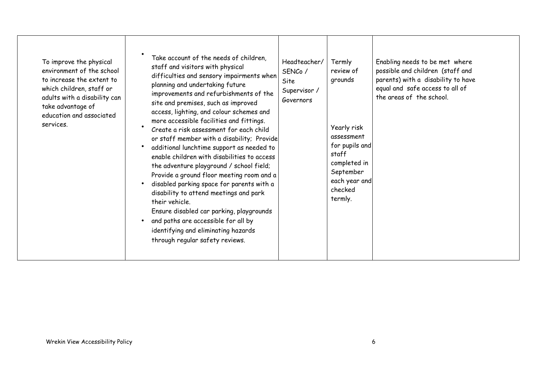| To improve the physical<br>environment of the school<br>to increase the extent to<br>which children, staff or<br>adults with a disability can<br>take advantage of<br>education and associated<br>services. | Take account of the needs of children,<br>staff and visitors with physical<br>difficulties and sensory impairments when<br>planning and undertaking future<br>improvements and refurbishments of the<br>site and premises, such as improved<br>access, lighting, and colour schemes and<br>more accessible facilities and fittings.<br>Create a risk assessment for each child<br>or staff member with a disability; Provide<br>additional lunchtime support as needed to<br>enable children with disabilities to access<br>the adventure playground / school field;<br>Provide a ground floor meeting room and a<br>disabled parking space for parents with a<br>disability to attend meetings and park<br>their vehicle.<br>Ensure disabled car parking, playgrounds<br>and paths are accessible for all by<br>identifying and eliminating hazards<br>through regular safety reviews. | Headteacher/<br>SENCo /<br>Site<br>Supervisor /<br>Governors | Termly<br>review of<br>grounds<br>Yearly risk<br>assessment<br>for pupils and<br>staff<br>completed in<br>September<br>each year and<br>checked<br>termly. | Enabling needs to be met where<br>possible and children (staff and<br>parents) with a disability to have<br>equal and safe access to all of<br>the areas of the school. |
|-------------------------------------------------------------------------------------------------------------------------------------------------------------------------------------------------------------|-----------------------------------------------------------------------------------------------------------------------------------------------------------------------------------------------------------------------------------------------------------------------------------------------------------------------------------------------------------------------------------------------------------------------------------------------------------------------------------------------------------------------------------------------------------------------------------------------------------------------------------------------------------------------------------------------------------------------------------------------------------------------------------------------------------------------------------------------------------------------------------------|--------------------------------------------------------------|------------------------------------------------------------------------------------------------------------------------------------------------------------|-------------------------------------------------------------------------------------------------------------------------------------------------------------------------|
|-------------------------------------------------------------------------------------------------------------------------------------------------------------------------------------------------------------|-----------------------------------------------------------------------------------------------------------------------------------------------------------------------------------------------------------------------------------------------------------------------------------------------------------------------------------------------------------------------------------------------------------------------------------------------------------------------------------------------------------------------------------------------------------------------------------------------------------------------------------------------------------------------------------------------------------------------------------------------------------------------------------------------------------------------------------------------------------------------------------------|--------------------------------------------------------------|------------------------------------------------------------------------------------------------------------------------------------------------------------|-------------------------------------------------------------------------------------------------------------------------------------------------------------------------|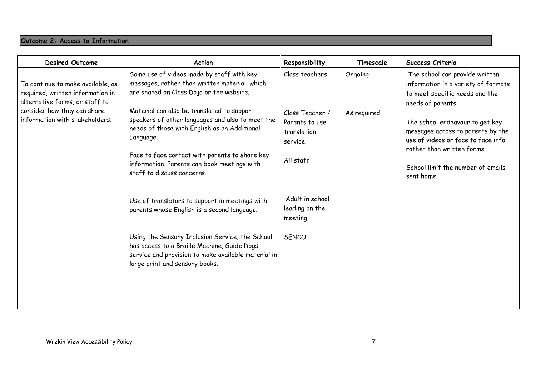#### **Outcome 2: Access to Information**

| <b>Desired Outcome</b>                                                                                                                                                   | <b>Action</b>                                                                                                                                                                                                                                                                                                                                                                                                                                                                                                                                                                                                                                                                                                                    | Responsibility                                                                                                                                               | Timescale              | Success Criteria                                                                                                                                                                                                                                                                                                            |
|--------------------------------------------------------------------------------------------------------------------------------------------------------------------------|----------------------------------------------------------------------------------------------------------------------------------------------------------------------------------------------------------------------------------------------------------------------------------------------------------------------------------------------------------------------------------------------------------------------------------------------------------------------------------------------------------------------------------------------------------------------------------------------------------------------------------------------------------------------------------------------------------------------------------|--------------------------------------------------------------------------------------------------------------------------------------------------------------|------------------------|-----------------------------------------------------------------------------------------------------------------------------------------------------------------------------------------------------------------------------------------------------------------------------------------------------------------------------|
| To continue to make available, as<br>required, written information in<br>alternative forms, or staff to<br>consider how they can share<br>information with stakeholders. | Some use of videos made by staff with key<br>messages, rather than written material, which<br>are shared on Class Dojo or the website.<br>Material can also be translated to support<br>speakers of other languages and also to meet the<br>needs of those with English as an Additional<br>Language.<br>Face to face contact with parents to share key<br>information. Parents can book meetings with<br>staff to discuss concerns.<br>Use of translators to support in meetings with<br>parents whose English is a second language.<br>Using the Sensory Inclusion Service, the School<br>has access to a Braille Machine, Guide Dogs<br>service and provision to make available material in<br>large print and sensory books. | Class teachers<br>Class Teacher /<br>Parents to use<br>translation<br>service.<br>All staff<br>Adult in school<br>leading on the<br>meeting.<br><b>SENCO</b> | Ongoing<br>As required | The school can provide written<br>information in a variety of formats<br>to meet specific needs and the<br>needs of parents.<br>The school endeavour to get key<br>messages across to parents by the<br>use of videos or face to face info<br>rather than written forms.<br>School limit the number of emails<br>sent home. |
|                                                                                                                                                                          |                                                                                                                                                                                                                                                                                                                                                                                                                                                                                                                                                                                                                                                                                                                                  |                                                                                                                                                              |                        |                                                                                                                                                                                                                                                                                                                             |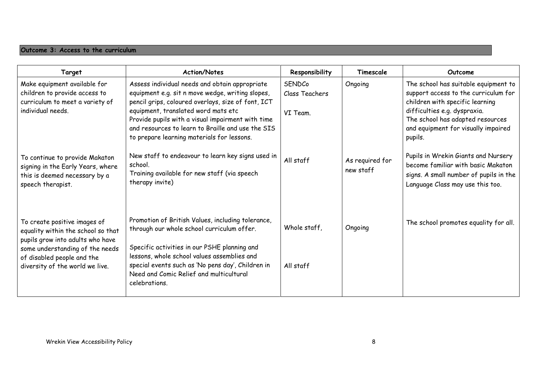#### **Outcome 3: Access to the curriculum**

| Target                                                                                                                                                                                                     | <b>Action/Notes</b>                                                                                                                                                                                                                                                                                                                                     | Responsibility                       | Timescale                    | Outcome                                                                                                                                                                                                                               |
|------------------------------------------------------------------------------------------------------------------------------------------------------------------------------------------------------------|---------------------------------------------------------------------------------------------------------------------------------------------------------------------------------------------------------------------------------------------------------------------------------------------------------------------------------------------------------|--------------------------------------|------------------------------|---------------------------------------------------------------------------------------------------------------------------------------------------------------------------------------------------------------------------------------|
| Make equipment available for<br>children to provide access to<br>curriculum to meet a variety of<br>individual needs.                                                                                      | Assess individual needs and obtain appropriate<br>equipment e.g. sit n move wedge, writing slopes,<br>pencil grips, coloured overlays, size of font, ICT<br>equipment, translated word mats etc<br>Provide pupils with a visual impairment with time<br>and resources to learn to Braille and use the SIS<br>to prepare learning materials for lessons. | SENDCo<br>Class Teachers<br>VI Team. | Ongoing                      | The school has suitable equipment to<br>support access to the curriculum for<br>children with specific learning<br>difficulties e.g. dyspraxia.<br>The school has adapted resources<br>and equipment for visually impaired<br>pupils. |
| To continue to provide Makaton<br>signing in the Early Years, where<br>this is deemed necessary by a<br>speech therapist.                                                                                  | New staff to endeavour to learn key signs used in<br>school.<br>Training available for new staff (via speech<br>therapy invite)                                                                                                                                                                                                                         | All staff                            | As required for<br>new staff | Pupils in Wrekin Giants and Nursery<br>become familiar with basic Makaton<br>signs. A small number of pupils in the<br>Language Class may use this too.                                                                               |
| To create positive images of<br>equality within the school so that<br>pupils grow into adults who have<br>some understanding of the needs<br>of disabled people and the<br>diversity of the world we live. | Promotion of British Values, including tolerance,<br>through our whole school curriculum offer.<br>Specific activities in our PSHE planning and<br>lessons, whole school values assemblies and<br>special events such as 'No pens day', Children in<br>Need and Comic Relief and multicultural<br>celebrations.                                         | Whole staff,<br>All staff            | Ongoing                      | The school promotes equality for all.                                                                                                                                                                                                 |